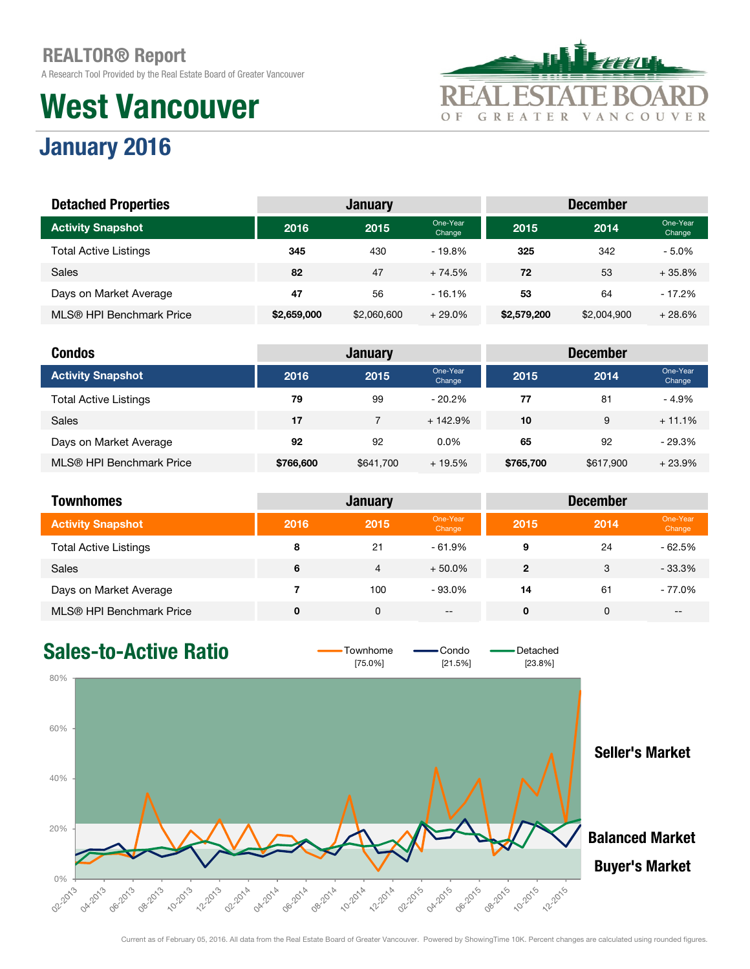A Research Tool Provided by the Real Estate Board of Greater Vancouver

## West Vancouver



## January 2016

| <b>Detached Properties</b>   |             | <b>January</b> |                    | <b>December</b> |             |                    |  |
|------------------------------|-------------|----------------|--------------------|-----------------|-------------|--------------------|--|
| <b>Activity Snapshot</b>     | 2016        | 2015           | One-Year<br>Change | 2015            | 2014        | One-Year<br>Change |  |
| <b>Total Active Listings</b> | 345         | 430            | $-19.8%$           | 325             | 342         | $-5.0\%$           |  |
| Sales                        | 82          | 47             | $+74.5%$           | 72              | 53          | $+35.8%$           |  |
| Days on Market Average       | 47          | 56             | $-16.1%$           | 53              | 64          | $-17.2%$           |  |
| MLS® HPI Benchmark Price     | \$2,659,000 | \$2,060,600    | $+29.0%$           | \$2,579,200     | \$2,004.900 | $+28.6%$           |  |

| <b>Condos</b>                |           | <b>January</b> |                    |           | <b>December</b> |                    |
|------------------------------|-----------|----------------|--------------------|-----------|-----------------|--------------------|
| <b>Activity Snapshot</b>     | 2016      | 2015           | One-Year<br>Change | 2015      | 2014            | One-Year<br>Change |
| <b>Total Active Listings</b> | 79        | 99             | $-20.2%$           | 77        | 81              | $-4.9\%$           |
| <b>Sales</b>                 | 17        |                | $+142.9%$          | 10        | 9               | $+11.1%$           |
| Days on Market Average       | 92        | 92             | $0.0\%$            | 65        | 92              | $-29.3%$           |
| MLS® HPI Benchmark Price     | \$766,600 | \$641,700      | $+19.5%$           | \$765,700 | \$617,900       | $+23.9%$           |

| <b>Townhomes</b>             |      | <b>January</b> |                    |              | <b>December</b> |                    |
|------------------------------|------|----------------|--------------------|--------------|-----------------|--------------------|
| <b>Activity Snapshot</b>     | 2016 | 2015           | One-Year<br>Change | 2015         | 2014            | One-Year<br>Change |
| <b>Total Active Listings</b> | 8    | 21             | $-61.9%$           | 9            | 24              | $-62.5%$           |
| <b>Sales</b>                 | 6    | 4              | $+50.0\%$          | $\mathbf{2}$ | 3               | $-33.3%$           |
| Days on Market Average       |      | 100            | $-93.0\%$          | 14           | 61              | - 77.0%            |
| MLS® HPI Benchmark Price     | 0    | 0              | $- -$              | 0            | 0               | $- -$              |

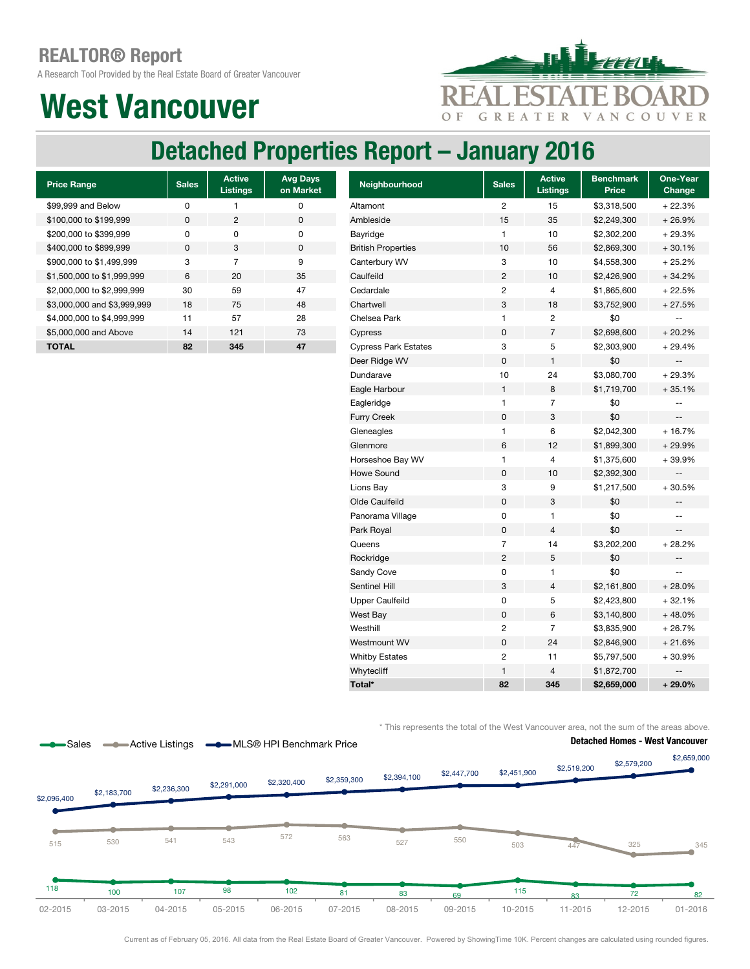A Research Tool Provided by the Real Estate Board of Greater Vancouver

## West Vancouver



## Detached Properties Report – January 2016

| <b>Price Range</b>          | <b>Sales</b> | <b>Active</b><br><b>Listings</b> | <b>Avg Days</b><br>on Market |
|-----------------------------|--------------|----------------------------------|------------------------------|
| \$99,999 and Below          | O            |                                  | ŋ                            |
| \$100,000 to \$199,999      | <sup>0</sup> | 2                                | O                            |
| \$200,000 to \$399,999      | U            | O                                | ŋ                            |
| \$400,000 to \$899,999      | <sup>0</sup> | 3                                | $\Omega$                     |
| \$900,000 to \$1,499,999    | 3            | 7                                | 9                            |
| \$1,500,000 to \$1,999,999  | 6            | 20                               | 35                           |
| \$2,000,000 to \$2,999,999  | 30           | 59                               | 47                           |
| \$3,000,000 and \$3,999,999 | 18           | 75                               | 48                           |
| \$4,000,000 to \$4,999,999  | 11           | 57                               | 28                           |
| \$5,000,000 and Above       | 14           | 121                              | 73                           |
| TOTAL                       | 82           | 345                              | 47                           |

| <b>Price Range</b>          | <b>Sales</b> | <b>Active</b><br><b>Listings</b> | <b>Avg Days</b><br>on Market | Neighbourhood               | <b>Sales</b>   | <b>Active</b><br><b>Listings</b> | <b>Benchmark</b><br><b>Price</b> | One-Year<br>Change       |
|-----------------------------|--------------|----------------------------------|------------------------------|-----------------------------|----------------|----------------------------------|----------------------------------|--------------------------|
| \$99,999 and Below          | 0            | 1                                | $\mathbf 0$                  | Altamont                    | $\overline{c}$ | 15                               | \$3,318,500                      | $+22.3%$                 |
| \$100,000 to \$199,999      | 0            | $\overline{c}$                   | 0                            | Ambleside                   | 15             | 35                               | \$2,249,300                      | $+26.9%$                 |
| \$200,000 to \$399,999      | 0            | 0                                | $\mathbf 0$                  | Bayridge                    | $\mathbf{1}$   | 10                               | \$2,302,200                      | $+29.3%$                 |
| \$400,000 to \$899,999      | $\mathsf 0$  | 3                                | $\mathbf 0$                  | <b>British Properties</b>   | 10             | 56                               | \$2,869,300                      | $+30.1%$                 |
| \$900,000 to \$1,499,999    | 3            | $\overline{7}$                   | 9                            | Canterbury WV               | 3              | 10                               | \$4,558,300                      | $+25.2%$                 |
| \$1,500,000 to \$1,999,999  | 6            | 20                               | 35                           | Caulfeild                   | $\overline{2}$ | 10                               | \$2,426,900                      | $+34.2%$                 |
| \$2,000,000 to \$2,999,999  | 30           | 59                               | 47                           | Cedardale                   | $\overline{c}$ | 4                                | \$1,865,600                      | $+22.5%$                 |
| \$3,000,000 and \$3,999,999 | 18           | 75                               | 48                           | Chartwell                   | 3              | 18                               | \$3,752,900                      | $+27.5%$                 |
| \$4,000,000 to \$4,999,999  | 11           | 57                               | 28                           | Chelsea Park                | $\mathbf{1}$   | 2                                | \$0                              | $-$                      |
| \$5,000,000 and Above       | 14           | 121                              | 73                           | Cypress                     | $\mathbf 0$    | $\overline{7}$                   | \$2,698,600                      | $+20.2%$                 |
| <b>TOTAL</b>                | 82           | 345                              | 47                           | <b>Cypress Park Estates</b> | 3              | 5                                | \$2,303,900                      | $+29.4%$                 |
|                             |              |                                  |                              | Deer Ridge WV               | $\mathbf 0$    | $\mathbf{1}$                     | \$0                              |                          |
|                             |              |                                  |                              | Dundarave                   | 10             | 24                               | \$3,080,700                      | $+29.3%$                 |
|                             |              |                                  |                              | Eagle Harbour               | $\mathbf{1}$   | 8                                | \$1,719,700                      | $+35.1%$                 |
|                             |              |                                  |                              | Eagleridge                  | $\mathbf{1}$   | 7                                | \$0                              | $-1$                     |
|                             |              |                                  |                              | <b>Furry Creek</b>          | $\pmb{0}$      | 3                                | \$0                              | $\overline{\phantom{a}}$ |
|                             |              |                                  |                              | Gleneagles                  | $\mathbf{1}$   | 6                                | \$2,042,300                      | + 16.7%                  |
|                             |              |                                  |                              | Glenmore                    | 6              | 12                               | \$1,899,300                      | $+29.9%$                 |
|                             |              |                                  |                              | Horseshoe Bay WV            | $\mathbf{1}$   | $\overline{4}$                   | \$1,375,600                      | +39.9%                   |
|                             |              |                                  |                              | <b>Howe Sound</b>           | $\pmb{0}$      | 10                               | \$2,392,300                      | --                       |
|                             |              |                                  |                              | Lions Bay                   | 3              | 9                                | \$1,217,500                      | $+30.5%$                 |
|                             |              |                                  |                              | Olde Caulfeild              | $\pmb{0}$      | 3                                | \$0                              | $\overline{\phantom{a}}$ |
|                             |              |                                  |                              | Panorama Village            | $\pmb{0}$      | 1                                | \$0                              | $-$                      |
|                             |              |                                  |                              | Park Royal                  | $\pmb{0}$      | $\overline{4}$                   | \$0                              | $\overline{\phantom{a}}$ |
|                             |              |                                  |                              | Queens                      | $\overline{7}$ | 14                               | \$3,202,200                      | $+28.2%$                 |
|                             |              |                                  |                              | Rockridge                   | $\overline{c}$ | 5                                | \$0                              | $\overline{\phantom{a}}$ |
|                             |              |                                  |                              | Sandy Cove                  | $\mathbf 0$    | 1                                | \$0                              |                          |
|                             |              |                                  |                              | Sentinel Hill               | 3              | 4                                | \$2,161,800                      | $+28.0%$                 |
|                             |              |                                  |                              | <b>Upper Caulfeild</b>      | $\mathbf 0$    | 5                                | \$2,423,800                      | $+32.1%$                 |
|                             |              |                                  |                              | West Bay                    | $\pmb{0}$      | 6                                | \$3,140,800                      | $+48.0%$                 |
|                             |              |                                  |                              | Westhill                    | $\overline{2}$ | $\overline{7}$                   | \$3,835,900                      | $+26.7%$                 |
|                             |              |                                  |                              | Westmount WV                | 0              | 24                               | \$2,846,900                      | $+21.6%$                 |
|                             |              |                                  |                              | <b>Whitby Estates</b>       | $\overline{c}$ | 11                               | \$5,797,500                      | $+30.9%$                 |
|                             |              |                                  |                              | Whytecliff                  | $\mathbf{1}$   | 4                                | \$1,872,700                      | $-\, -$                  |
|                             |              |                                  |                              | Total*                      | 82             | 345                              | \$2,659,000                      | $+29.0%$                 |

\* This represents the total of the West Vancouver area, not the sum of the areas above.



Current as of February 05, 2016. All data from the Real Estate Board of Greater Vancouver. Powered by ShowingTime 10K. Percent changes are calculated using rounded figures.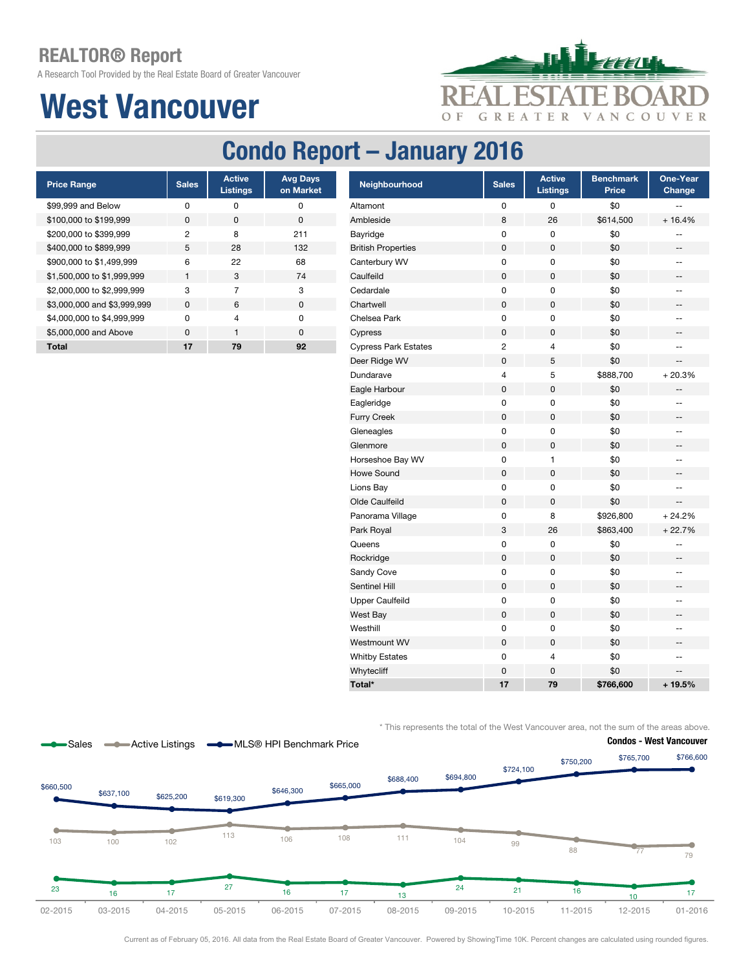A Research Tool Provided by the Real Estate Board of Greater Vancouver

## West Vancouver



## Condo Report – January 2016

| <b>Price Range</b>          | <b>Sales</b> | <b>Active</b><br><b>Listings</b> | <b>Avg Days</b><br>on Market |
|-----------------------------|--------------|----------------------------------|------------------------------|
| \$99,999 and Below          | O            | O                                | 0                            |
| \$100,000 to \$199,999      | <sup>0</sup> | $\Omega$                         | 0                            |
| \$200,000 to \$399,999      | 2            | 8                                | 211                          |
| \$400,000 to \$899,999      | 5            | 28                               | 132                          |
| \$900,000 to \$1,499,999    | 6            | 22                               | 68                           |
| \$1,500,000 to \$1,999,999  | 1            | 3                                | 74                           |
| \$2,000,000 to \$2,999,999  | 3            | 7                                | 3                            |
| \$3,000,000 and \$3,999,999 | <sup>0</sup> | 6                                | $\Omega$                     |
| \$4,000,000 to \$4,999,999  | U            | 4                                | ŋ                            |
| \$5,000,000 and Above       | <sup>0</sup> | 1                                | ŋ                            |
| Total                       | 17           | 79                               | 92                           |

| <b>Price Range</b>          | <b>Sales</b> | <b>Active</b><br><b>Listings</b> | <b>Avg Days</b><br>on Market | Neighbourhood               | <b>Sales</b>            | <b>Active</b><br><b>Listings</b> | <b>Benchmark</b><br>Price | One-Year<br>Change                                  |
|-----------------------------|--------------|----------------------------------|------------------------------|-----------------------------|-------------------------|----------------------------------|---------------------------|-----------------------------------------------------|
| \$99,999 and Below          | 0            | 0                                | 0                            | Altamont                    | 0                       | 0                                | \$0                       |                                                     |
| \$100,000 to \$199,999      | 0            | 0                                | $\pmb{0}$                    | Ambleside                   | 8                       | 26                               | \$614,500                 | $+16.4%$                                            |
| \$200,000 to \$399,999      | 2            | 8                                | 211                          | Bayridge                    | 0                       | 0                                | \$0                       |                                                     |
| \$400,000 to \$899,999      | 5            | 28                               | 132                          | <b>British Properties</b>   | 0                       | 0                                | \$0                       | ≕                                                   |
| \$900,000 to \$1,499,999    | 6            | 22                               | 68                           | Canterbury WV               | 0                       | 0                                | \$0                       | $\hspace{0.05cm} -\hspace{0.05cm} -\hspace{0.05cm}$ |
| \$1,500,000 to \$1,999,999  | 1            | 3                                | 74                           | Caulfeild                   | 0                       | 0                                | \$0                       | ≕                                                   |
| \$2,000,000 to \$2,999,999  | 3            | $\overline{7}$                   | 3                            | Cedardale                   | 0                       | 0                                | \$0                       | --                                                  |
| \$3,000,000 and \$3,999,999 | $\pmb{0}$    | 6                                | $\pmb{0}$                    | Chartwell                   | $\pmb{0}$               | $\pmb{0}$                        | \$0                       | ÷                                                   |
| \$4,000,000 to \$4,999,999  | 0            | $\overline{4}$                   | $\pmb{0}$                    | Chelsea Park                | 0                       | 0                                | \$0                       | --                                                  |
| \$5,000,000 and Above       | $\pmb{0}$    | $\mathbf{1}$                     | $\pmb{0}$                    | Cypress                     | $\pmb{0}$               | $\pmb{0}$                        | \$0                       | $\overline{\phantom{a}}$                            |
| Total                       | 17           | 79                               | 92                           | <b>Cypress Park Estates</b> | $\overline{\mathbf{c}}$ | 4                                | \$0                       | $\overline{\phantom{a}}$                            |
|                             |              |                                  |                              | Deer Ridge WV               | $\pmb{0}$               | 5                                | \$0                       |                                                     |
|                             |              |                                  |                              | Dundarave                   | $\overline{4}$          | 5                                | \$888,700                 | $+20.3%$                                            |
|                             |              |                                  |                              | Eagle Harbour               | 0                       | 0                                | \$0                       |                                                     |
|                             |              |                                  |                              | Eagleridge                  | 0                       | 0                                | \$0                       | --                                                  |
|                             |              |                                  |                              | <b>Furry Creek</b>          | 0                       | 0                                | \$0                       | --                                                  |
|                             |              |                                  |                              | Gleneagles                  | 0                       | 0                                | \$0                       | --                                                  |
|                             |              |                                  |                              | Glenmore                    | $\mathsf 0$             | 0                                | \$0                       | --                                                  |
|                             |              |                                  |                              | Horseshoe Bay WV            | 0                       | 1                                | \$0                       | --                                                  |
|                             |              |                                  |                              | <b>Howe Sound</b>           | 0                       | 0                                | \$0                       | --                                                  |
|                             |              |                                  |                              | Lions Bay                   | 0                       | $\pmb{0}$                        | \$0                       | --                                                  |
|                             |              |                                  |                              | Olde Caulfeild              | 0                       | 0                                | \$0                       | --                                                  |
|                             |              |                                  |                              | Panorama Village            | 0                       | 8                                | \$926,800                 | $+24.2%$                                            |
|                             |              |                                  |                              | Park Royal                  | 3                       | 26                               | \$863,400                 | $+22.7%$                                            |
|                             |              |                                  |                              | Queens                      | 0                       | 0                                | \$0                       | --                                                  |
|                             |              |                                  |                              | Rockridge                   | $\pmb{0}$               | $\mathsf 0$                      | \$0                       | $\overline{\phantom{a}}$                            |
|                             |              |                                  |                              | Sandy Cove                  | 0                       | 0                                | \$0                       | --                                                  |
|                             |              |                                  |                              | Sentinel Hill               | $\pmb{0}$               | 0                                | \$0                       | --                                                  |
|                             |              |                                  |                              | <b>Upper Caulfeild</b>      | 0                       | 0                                | \$0                       | --                                                  |
|                             |              |                                  |                              | West Bay                    | 0                       | 0                                | \$0                       | ۰.                                                  |
|                             |              |                                  |                              | Westhill                    | 0                       | 0                                | \$0                       | --                                                  |
|                             |              |                                  |                              | Westmount WV                | $\pmb{0}$               | 0                                | \$0                       | --                                                  |
|                             |              |                                  |                              | <b>Whitby Estates</b>       | 0                       | 4                                | \$0                       | --                                                  |
|                             |              |                                  |                              | Whytecliff                  | $\pmb{0}$               | $\pmb{0}$                        | \$0                       |                                                     |
|                             |              |                                  |                              | Total*                      | 17                      | 79                               | \$766,600                 | $+19.5%$                                            |

\* This represents the total of the West Vancouver area, not the sum of the areas above.



Current as of February 05, 2016. All data from the Real Estate Board of Greater Vancouver. Powered by ShowingTime 10K. Percent changes are calculated using rounded figures.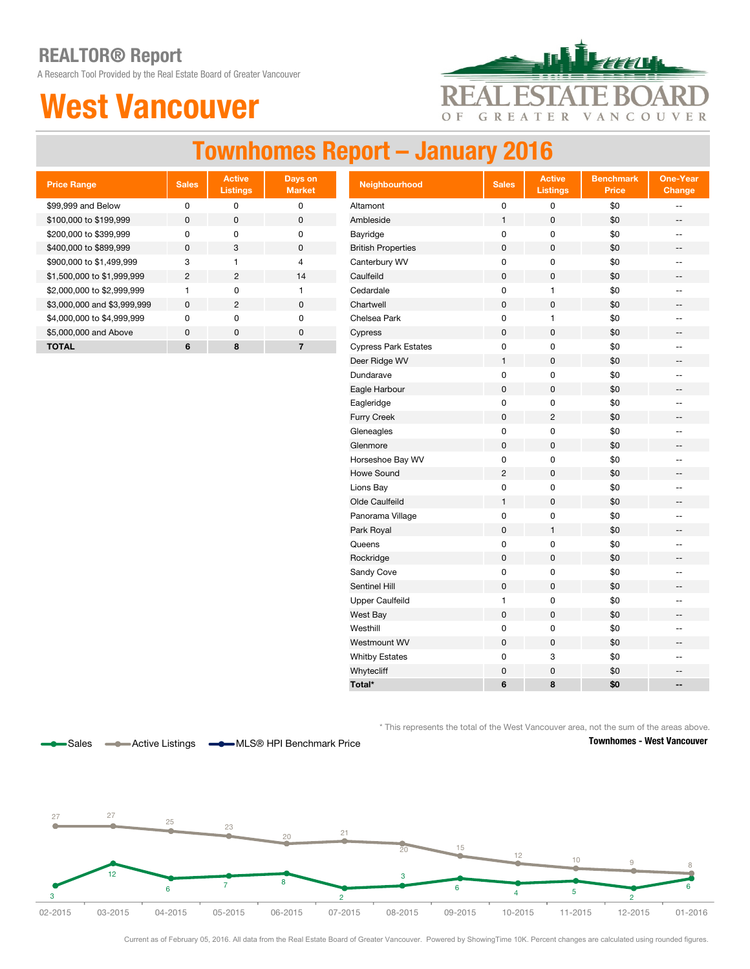A Research Tool Provided by the Real Estate Board of Greater Vancouver

## West Vancouver



## Townhomes Report – January 2016

| <b>Price Range</b>          | <b>Sales</b>   | <b>Active</b><br><b>Listings</b> | Days on<br><b>Market</b> |
|-----------------------------|----------------|----------------------------------|--------------------------|
| \$99,999 and Below          | ŋ              | ŋ                                | 0                        |
| \$100,000 to \$199,999      | <sup>0</sup>   | $\Omega$                         | ŋ                        |
| \$200,000 to \$399,999      | ŋ              | U                                | ŋ                        |
| \$400,000 to \$899,999      | <sup>0</sup>   | 3                                | ŋ                        |
| \$900,000 to \$1,499,999    | 3              |                                  | 4                        |
| \$1,500,000 to \$1,999,999  | $\mathfrak{p}$ | 2                                | 14                       |
| \$2,000,000 to \$2,999,999  |                | O                                | 1                        |
| \$3,000,000 and \$3,999,999 | $\Omega$       | 2                                | ŋ                        |
| \$4,000,000 to \$4,999,999  | ŋ              | O                                | ŋ                        |
| \$5,000,000 and Above       | <sup>0</sup>   | $\Omega$                         | ŋ                        |
| ΤΟΤΑL                       | 6              | 8                                |                          |

| <b>Price Range</b>          | <b>Sales</b>   | <b>Active</b><br><b>Listings</b> | Days on<br><b>Market</b> | Neighbourhood               | <b>Sales</b>   | <b>Active</b><br><b>Listings</b> | <b>Benchmark</b><br><b>Price</b> | <b>One-Year</b><br>Change |
|-----------------------------|----------------|----------------------------------|--------------------------|-----------------------------|----------------|----------------------------------|----------------------------------|---------------------------|
| \$99,999 and Below          | $\pmb{0}$      | $\pmb{0}$                        | $\pmb{0}$                | Altamont                    | $\pmb{0}$      | 0                                | \$0                              | $\overline{a}$            |
| \$100,000 to \$199,999      | 0              | $\pmb{0}$                        | $\pmb{0}$                | Ambleside                   | 1              | 0                                | \$0                              | --                        |
| \$200,000 to \$399,999      | $\pmb{0}$      | $\pmb{0}$                        | $\pmb{0}$                | Bayridge                    | 0              | 0                                | \$0                              | $\overline{\phantom{a}}$  |
| \$400,000 to \$899,999      | $\pmb{0}$      | 3                                | $\pmb{0}$                | <b>British Properties</b>   | $\pmb{0}$      | $\pmb{0}$                        | \$0                              | --                        |
| \$900,000 to \$1,499,999    | 3              | $\mathbf{1}$                     | $\overline{4}$           | Canterbury WV               | 0              | 0                                | \$0                              | --                        |
| \$1,500,000 to \$1,999,999  | $\overline{c}$ | $\overline{c}$                   | 14                       | Caulfeild                   | 0              | $\pmb{0}$                        | \$0                              | --                        |
| \$2,000,000 to \$2,999,999  | $\mathbf{1}$   | 0                                | $\mathbf{1}$             | Cedardale                   | 0              | $\mathbf{1}$                     | \$0                              | $\mathbf{u}$              |
| \$3,000,000 and \$3,999,999 | $\mathbf 0$    | $\overline{2}$                   | $\mathbf 0$              | Chartwell                   | $\pmb{0}$      | $\pmb{0}$                        | \$0                              | $\overline{\phantom{a}}$  |
| \$4,000,000 to \$4,999,999  | 0              | 0                                | $\pmb{0}$                | Chelsea Park                | $\pmb{0}$      | 1                                | \$0                              | $\overline{a}$            |
| \$5,000,000 and Above       | $\pmb{0}$      | 0                                | $\pmb{0}$                | Cypress                     | $\pmb{0}$      | 0                                | \$0                              | --                        |
| <b>TOTAL</b>                | 6              | 8                                | $\overline{\mathbf{r}}$  | <b>Cypress Park Estates</b> | 0              | 0                                | \$0                              | $\overline{\phantom{a}}$  |
|                             |                |                                  |                          | Deer Ridge WV               | $\mathbf{1}$   | $\mathbf 0$                      | \$0                              | --                        |
|                             |                |                                  |                          | Dundarave                   | 0              | 0                                | \$0                              | --                        |
|                             |                |                                  |                          | Eagle Harbour               | $\pmb{0}$      | $\mathsf 0$                      | \$0                              | $\qquad \qquad -$         |
|                             |                |                                  |                          | Eagleridge                  | 0              | 0                                | \$0                              | $\overline{\phantom{a}}$  |
|                             |                |                                  |                          | <b>Furry Creek</b>          | $\pmb{0}$      | $\overline{c}$                   | \$0                              | --                        |
|                             |                |                                  |                          | Gleneagles                  | 0              | $\pmb{0}$                        | \$0                              | $\frac{1}{2}$             |
|                             |                |                                  |                          | Glenmore                    | $\pmb{0}$      | $\mathbf 0$                      | \$0                              | --                        |
|                             |                |                                  |                          | Horseshoe Bay WV            | 0              | $\pmb{0}$                        | \$0                              | ÷-                        |
|                             |                |                                  |                          | Howe Sound                  | $\overline{c}$ | $\pmb{0}$                        | \$0                              | ÷                         |
|                             |                |                                  |                          | Lions Bay                   | 0              | $\pmb{0}$                        | \$0                              | --                        |
|                             |                |                                  |                          | Olde Caulfeild              | $\mathbf{1}$   | 0                                | \$0                              | --                        |
|                             |                |                                  |                          | Panorama Village            | 0              | $\pmb{0}$                        | \$0                              | --                        |
|                             |                |                                  |                          | Park Royal                  | $\pmb{0}$      | $\mathbf{1}$                     | \$0                              | --                        |
|                             |                |                                  |                          | Queens                      | 0              | $\pmb{0}$                        | \$0                              | $\overline{\phantom{a}}$  |
|                             |                |                                  |                          | Rockridge                   | $\mathsf 0$    | $\pmb{0}$                        | \$0                              | $\qquad \qquad -$         |
|                             |                |                                  |                          | Sandy Cove                  | 0              | $\pmb{0}$                        | \$0                              | $\overline{\phantom{a}}$  |
|                             |                |                                  |                          | Sentinel Hill               | $\pmb{0}$      | $\pmb{0}$                        | \$0                              | --                        |
|                             |                |                                  |                          | Upper Caulfeild             | $\mathbf{1}$   | 0                                | \$0                              | --                        |
|                             |                |                                  |                          | West Bay                    | $\pmb{0}$      | $\mathsf 0$                      | \$0                              | --                        |
|                             |                |                                  |                          | Westhill                    | 0              | 0                                | \$0                              | $\overline{\phantom{a}}$  |
|                             |                |                                  |                          | Westmount WV                | $\pmb{0}$      | $\pmb{0}$                        | \$0                              | --                        |
|                             |                |                                  |                          | <b>Whitby Estates</b>       | 0              | 3                                | \$0                              | $\frac{1}{2}$             |
|                             |                |                                  |                          | Whytecliff                  | $\pmb{0}$      | $\pmb{0}$                        | \$0                              | $\qquad \qquad -$         |
|                             |                |                                  |                          | Total*                      | 6              | 8                                | \$0                              | --                        |

\* This represents the total of the West Vancouver area, not the sum of the areas above.



Sales ———— Active Listings ———— MLS® HPI Benchmark Price

Townhomes - West Vancouver



Current as of February 05, 2016. All data from the Real Estate Board of Greater Vancouver. Powered by ShowingTime 10K. Percent changes are calculated using rounded figures.